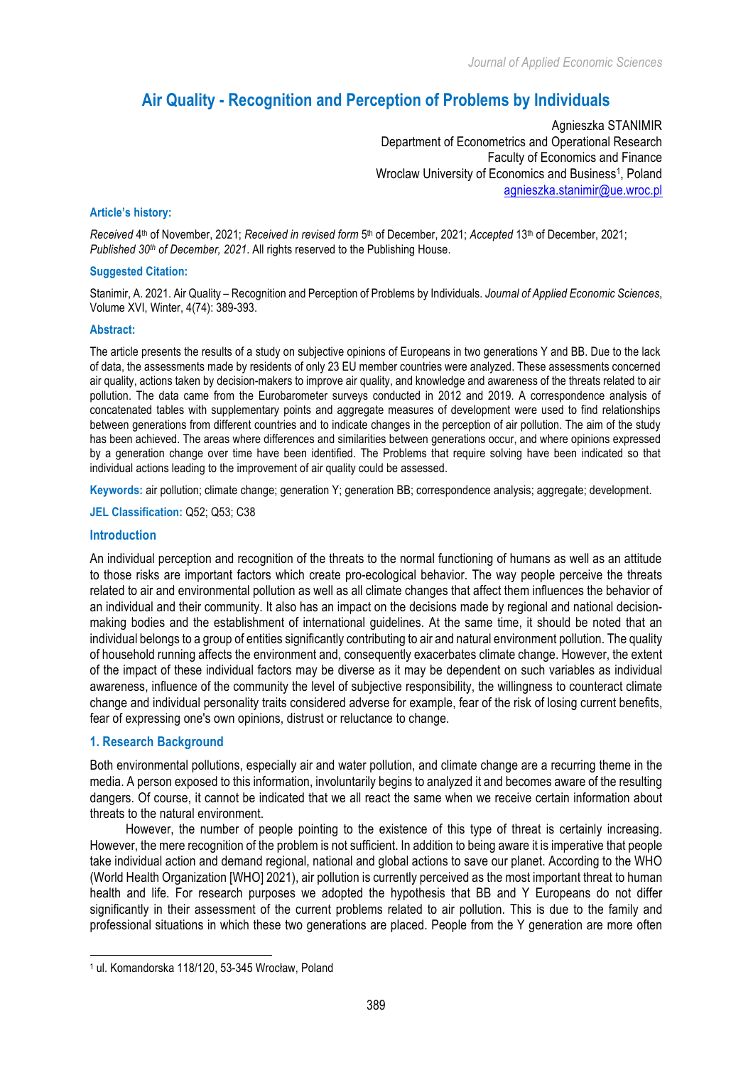# **Air Quality - Recognition and Perception of Problems by Individuals**

Agnieszka STANIMIR Department of Econometrics and Operational Research Faculty of Economics and Finance Wroclaw University of Economics and Business<sup>1</sup>, Poland agnieszka.stanimir@ue.wroc.pl

# **Article's history:**

*Received* 4th of November, 2021; *Received in revised form* 5th of December, 2021; *Accepted* 13th of December, 2021; *Published* 30<sup>th</sup> of December, 2021. All rights reserved to the Publishing House.

#### **Suggested Citation:**

Stanimir, A. 2021. Air Quality – Recognition and Perception of Problems by Individuals. *Journal of Applied Economic Sciences*, Volume XVI, Winter, 4(74): 389-393.

#### **Abstract:**

The article presents the results of a study on subjective opinions of Europeans in two generations Y and BB. Due to the lack of data, the assessments made by residents of only 23 EU member countries were analyzed. These assessments concerned air quality, actions taken by decision-makers to improve air quality, and knowledge and awareness of the threats related to air pollution. The data came from the Eurobarometer surveys conducted in 2012 and 2019. A correspondence analysis of concatenated tables with supplementary points and aggregate measures of development were used to find relationships between generations from different countries and to indicate changes in the perception of air pollution. The aim of the study has been achieved. The areas where differences and similarities between generations occur, and where opinions expressed by a generation change over time have been identified. The Problems that require solving have been indicated so that individual actions leading to the improvement of air quality could be assessed.

**Keywords:** air pollution; climate change; generation Y; generation BB; correspondence analysis; aggregate; development.

**JEL Classification:** Q52; Q53; C38

## **Introduction**

An individual perception and recognition of the threats to the normal functioning of humans as well as an attitude to those risks are important factors which create pro-ecological behavior. The way people perceive the threats related to air and environmental pollution as well as all climate changes that affect them influences the behavior of an individual and their community. It also has an impact on the decisions made by regional and national decisionmaking bodies and the establishment of international guidelines. At the same time, it should be noted that an individual belongs to a group of entities significantly contributing to air and natural environment pollution. The quality of household running affects the environment and, consequently exacerbates climate change. However, the extent of the impact of these individual factors may be diverse as it may be dependent on such variables as individual awareness, influence of the community the level of subjective responsibility, the willingness to counteract climate change and individual personality traits considered adverse for example, fear of the risk of losing current benefits, fear of expressing one's own opinions, distrust or reluctance to change.

# **1. Research Background**

l

Both environmental pollutions, especially air and water pollution, and climate change are a recurring theme in the media. A person exposed to this information, involuntarily begins to analyzed it and becomes aware of the resulting dangers. Of course, it cannot be indicated that we all react the same when we receive certain information about threats to the natural environment.

However, the number of people pointing to the existence of this type of threat is certainly increasing. However, the mere recognition of the problem is not sufficient. In addition to being aware it is imperative that people take individual action and demand regional, national and global actions to save our planet. According to the WHO (World Health Organization [WHO] 2021), air pollution is currently perceived as the most important threat to human health and life. For research purposes we adopted the hypothesis that BB and Y Europeans do not differ significantly in their assessment of the current problems related to air pollution. This is due to the family and professional situations in which these two generations are placed. People from the Y generation are more often

<sup>1</sup> ul. Komandorska 118/120, 53-345 Wrocław, Poland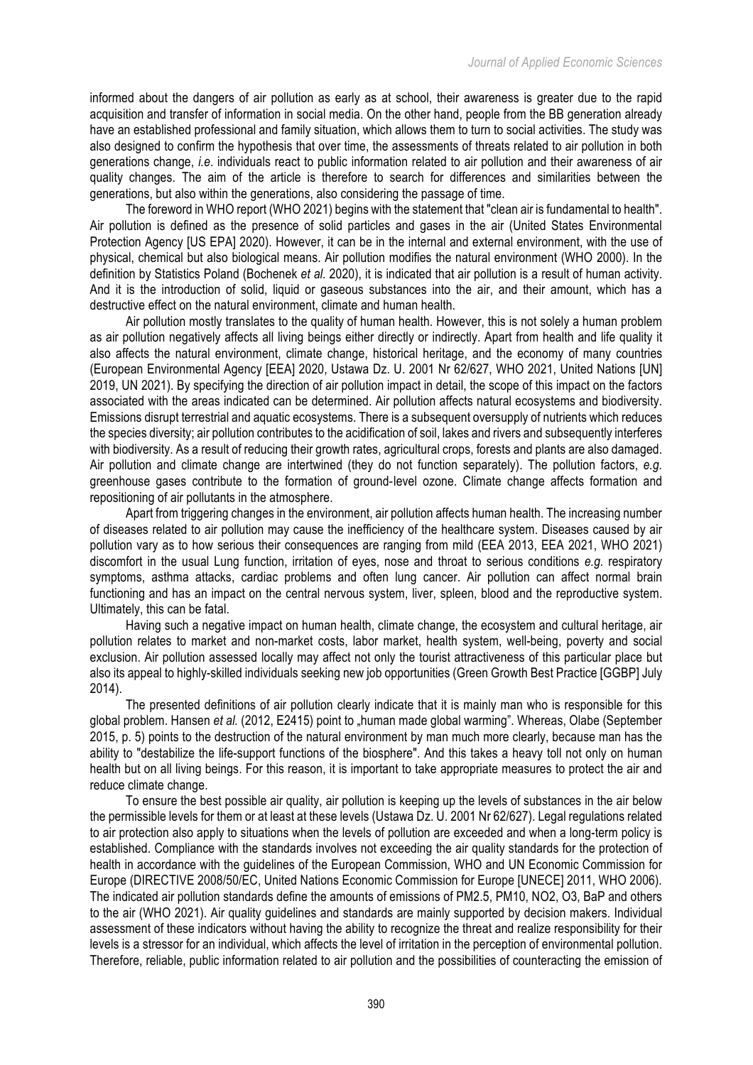informed about the dangers of air pollution as early as at school, their awareness is greater due to the rapid acquisition and transfer of information in social media. On the other hand, people from the BB generation already have an established professional and family situation, which allows them to turn to social activities. The study was also designed to confirm the hypothesis that over time, the assessments of threats related to air pollution in both generations change, *i.e*. individuals react to public information related to air pollution and their awareness of air quality changes. The aim of the article is therefore to search for differences and similarities between the generations, but also within the generations, also considering the passage of time.

The foreword in WHO report (WHO 2021) begins with the statement that "clean air is fundamental to health". Air pollution is defined as the presence of solid particles and gases in the air (United States Environmental Protection Agency [US EPA] 2020). However, it can be in the internal and external environment, with the use of physical, chemical but also biological means. Air pollution modifies the natural environment (WHO 2000). In the definition by Statistics Poland (Bochenek *et al.* 2020), it is indicated that air pollution is a result of human activity. And it is the introduction of solid, liquid or gaseous substances into the air, and their amount, which has a destructive effect on the natural environment, climate and human health.

Air pollution mostly translates to the quality of human health. However, this is not solely a human problem as air pollution negatively affects all living beings either directly or indirectly. Apart from health and life quality it also affects the natural environment, climate change, historical heritage, and the economy of many countries (European Environmental Agency [EEA] 2020, Ustawa Dz. U. 2001 Nr 62/627, WHO 2021, United Nations [UN] 2019, UN 2021). By specifying the direction of air pollution impact in detail, the scope of this impact on the factors associated with the areas indicated can be determined. Air pollution affects natural ecosystems and biodiversity. Emissions disrupt terrestrial and aquatic ecosystems. There is a subsequent oversupply of nutrients which reduces the species diversity; air pollution contributes to the acidification of soil, lakes and rivers and subsequently interferes with biodiversity. As a result of reducing their growth rates, agricultural crops, forests and plants are also damaged. Air pollution and climate change are intertwined (they do not function separately). The pollution factors, *e.g.* greenhouse gases contribute to the formation of ground-level ozone. Climate change affects formation and repositioning of air pollutants in the atmosphere.

Apart from triggering changes in the environment, air pollution affects human health. The increasing number of diseases related to air pollution may cause the inefficiency of the healthcare system. Diseases caused by air pollution vary as to how serious their consequences are ranging from mild (EEA 2013, EEA 2021, WHO 2021) discomfort in the usual Lung function, irritation of eyes, nose and throat to serious conditions *e.g.* respiratory symptoms, asthma attacks, cardiac problems and often lung cancer. Air pollution can affect normal brain functioning and has an impact on the central nervous system, liver, spleen, blood and the reproductive system. Ultimately, this can be fatal.

Having such a negative impact on human health, climate change, the ecosystem and cultural heritage, air pollution relates to market and non-market costs, labor market, health system, well-being, poverty and social exclusion. Air pollution assessed locally may affect not only the tourist attractiveness of this particular place but also its appeal to highly-skilled individuals seeking new job opportunities (Green Growth Best Practice [GGBP] July 2014).

The presented definitions of air pollution clearly indicate that it is mainly man who is responsible for this global problem. Hansen *et al.* (2012, E2415) point to "human made global warming". Whereas, Olabe (September 2015, p. 5) points to the destruction of the natural environment by man much more clearly, because man has the ability to "destabilize the life-support functions of the biosphere". And this takes a heavy toll not only on human health but on all living beings. For this reason, it is important to take appropriate measures to protect the air and reduce climate change.

To ensure the best possible air quality, air pollution is keeping up the levels of substances in the air below the permissible levels for them or at least at these levels (Ustawa Dz. U. 2001 Nr 62/627). Legal regulations related to air protection also apply to situations when the levels of pollution are exceeded and when a long-term policy is established. Compliance with the standards involves not exceeding the air quality standards for the protection of health in accordance with the guidelines of the European Commission, WHO and UN Economic Commission for Europe (DIRECTIVE 2008/50/EC, United Nations Economic Commission for Europe [UNECE] 2011, WHO 2006). The indicated air pollution standards define the amounts of emissions of PM2.5, PM10, NO2, O3, BaP and others to the air (WHO 2021). Air quality guidelines and standards are mainly supported by decision makers. Individual assessment of these indicators without having the ability to recognize the threat and realize responsibility for their levels is a stressor for an individual, which affects the level of irritation in the perception of environmental pollution. Therefore, reliable, public information related to air pollution and the possibilities of counteracting the emission of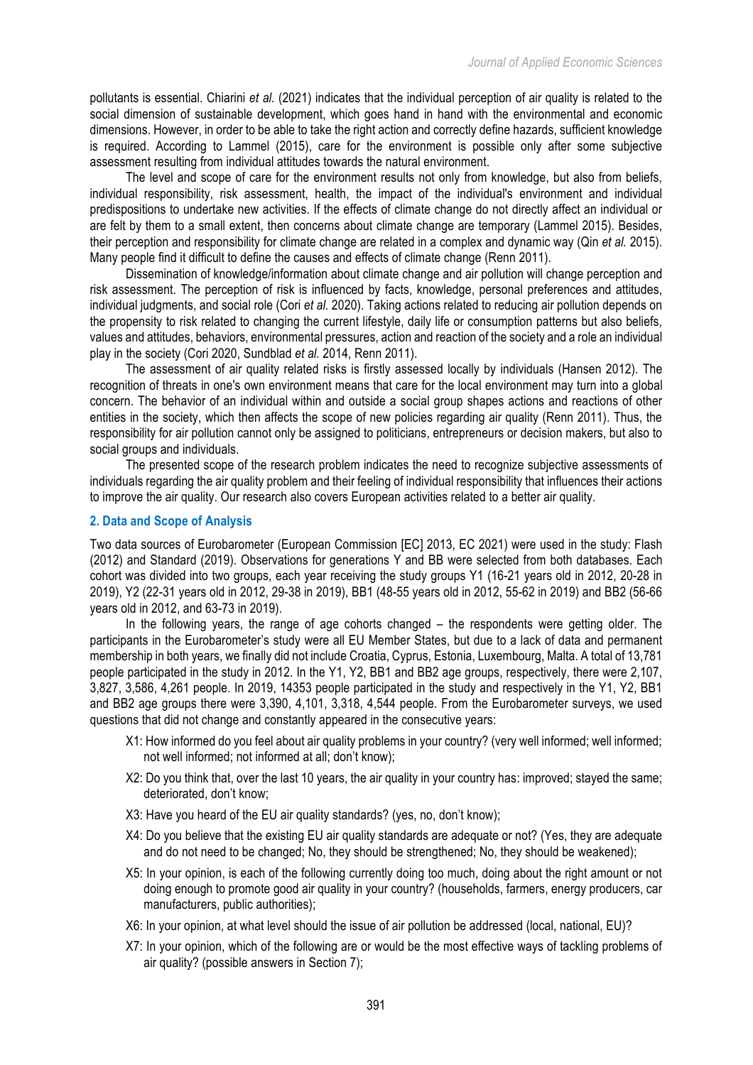pollutants is essential. Chiarini *et al.* (2021) indicates that the individual perception of air quality is related to the social dimension of sustainable development, which goes hand in hand with the environmental and economic dimensions. However, in order to be able to take the right action and correctly define hazards, sufficient knowledge is required. According to Lammel (2015), care for the environment is possible only after some subjective assessment resulting from individual attitudes towards the natural environment.

The level and scope of care for the environment results not only from knowledge, but also from beliefs, individual responsibility, risk assessment, health, the impact of the individual's environment and individual predispositions to undertake new activities. If the effects of climate change do not directly affect an individual or are felt by them to a small extent, then concerns about climate change are temporary (Lammel 2015). Besides, their perception and responsibility for climate change are related in a complex and dynamic way (Qin *et al.* 2015). Many people find it difficult to define the causes and effects of climate change (Renn 2011).

Dissemination of knowledge/information about climate change and air pollution will change perception and risk assessment. The perception of risk is influenced by facts, knowledge, personal preferences and attitudes, individual judgments, and social role (Cori *et al.* 2020). Taking actions related to reducing air pollution depends on the propensity to risk related to changing the current lifestyle, daily life or consumption patterns but also beliefs, values and attitudes, behaviors, environmental pressures, action and reaction of the society and a role an individual play in the society (Cori 2020, Sundblad *et al.* 2014, Renn 2011).

The assessment of air quality related risks is firstly assessed locally by individuals (Hansen 2012). The recognition of threats in one's own environment means that care for the local environment may turn into a global concern. The behavior of an individual within and outside a social group shapes actions and reactions of other entities in the society, which then affects the scope of new policies regarding air quality (Renn 2011). Thus, the responsibility for air pollution cannot only be assigned to politicians, entrepreneurs or decision makers, but also to social groups and individuals.

The presented scope of the research problem indicates the need to recognize subjective assessments of individuals regarding the air quality problem and their feeling of individual responsibility that influences their actions to improve the air quality. Our research also covers European activities related to a better air quality.

# **2. Data and Scope of Analysis**

Two data sources of Eurobarometer (European Commission [EC] 2013, EC 2021) were used in the study: Flash (2012) and Standard (2019). Observations for generations Y and BB were selected from both databases. Each cohort was divided into two groups, each year receiving the study groups Y1 (16-21 years old in 2012, 20-28 in 2019), Y2 (22-31 years old in 2012, 29-38 in 2019), BB1 (48-55 years old in 2012, 55-62 in 2019) and BB2 (56-66 years old in 2012, and 63-73 in 2019).

In the following years, the range of age cohorts changed – the respondents were getting older. The participants in the Eurobarometer's study were all EU Member States, but due to a lack of data and permanent membership in both years, we finally did not include Croatia, Cyprus, Estonia, Luxembourg, Malta. A total of 13,781 people participated in the study in 2012. In the Y1, Y2, BB1 and BB2 age groups, respectively, there were 2,107, 3,827, 3,586, 4,261 people. In 2019, 14353 people participated in the study and respectively in the Y1, Y2, BB1 and BB2 age groups there were 3,390, 4,101, 3,318, 4,544 people. From the Eurobarometer surveys, we used questions that did not change and constantly appeared in the consecutive years:

- X1: How informed do you feel about air quality problems in your country? (very well informed; well informed; not well informed; not informed at all; don't know);
- X2: Do you think that, over the last 10 years, the air quality in your country has: improved; stayed the same; deteriorated, don't know;
- X3: Have you heard of the EU air quality standards? (yes, no, don't know);
- X4: Do you believe that the existing EU air quality standards are adequate or not? (Yes, they are adequate and do not need to be changed. No, they should be strengthened; No, they should be weakened);
- X5: In your opinion, is each of the following currently doing too much, doing about the right amount or not doing enough to promote good air quality in your country? (households, farmers, energy producers, car manufacturers, public authorities);
- X6: In your opinion, at what level should the issue of air pollution be addressed (local, national, EU)?
- X7: In your opinion, which of the following are or would be the most effective ways of tackling problems of air quality? (possible answers in Section 7);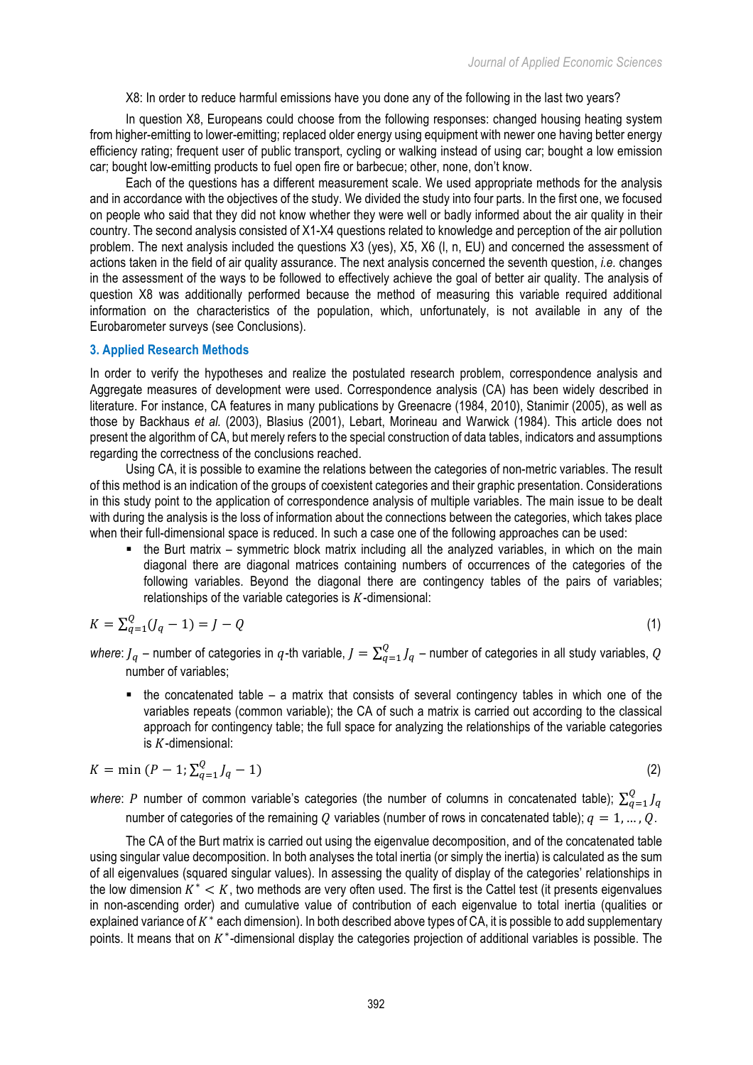X8: In order to reduce harmful emissions have you done any of the following in the last two years?

In question X8, Europeans could choose from the following responses: changed housing heating system from higher-emitting to lower-emitting; replaced older energy using equipment with newer one having better energy efficiency rating; frequent user of public transport, cycling or walking instead of using car; bought a low emission car; bought low-emitting products to fuel open fire or barbecue; other, none, don't know.

Each of the questions has a different measurement scale. We used appropriate methods for the analysis and in accordance with the objectives of the study. We divided the study into four parts. In the first one, we focused on people who said that they did not know whether they were well or badly informed about the air quality in their country. The second analysis consisted of X1-X4 questions related to knowledge and perception of the air pollution problem. The next analysis included the questions X3 (yes), X5, X6 (l, n, EU) and concerned the assessment of actions taken in the field of air quality assurance. The next analysis concerned the seventh question, *i.e.* changes in the assessment of the ways to be followed to effectively achieve the goal of better air quality. The analysis of question X8 was additionally performed because the method of measuring this variable required additional information on the characteristics of the population, which, unfortunately, is not available in any of the Eurobarometer surveys (see Conclusions).

#### **3. Applied Research Methods**

In order to verify the hypotheses and realize the postulated research problem, correspondence analysis and Aggregate measures of development were used. Correspondence analysis (CA) has been widely described in literature. For instance, CA features in many publications by Greenacre (1984, 2010), Stanimir (2005), as well as those by Backhaus *et al.* (2003), Blasius (2001), Lebart, Morineau and Warwick (1984). This article does not present the algorithm of CA, but merely refers to the special construction of data tables, indicators and assumptions regarding the correctness of the conclusions reached.

Using CA, it is possible to examine the relations between the categories of non-metric variables. The result of this method is an indication of the groups of coexistent categories and their graphic presentation. Considerations in this study point to the application of correspondence analysis of multiple variables. The main issue to be dealt with during the analysis is the loss of information about the connections between the categories, which takes place when their full-dimensional space is reduced. In such a case one of the following approaches can be used:

■ the Burt matrix – symmetric block matrix including all the analyzed variables, in which on the main diagonal there are diagonal matrices containing numbers of occurrences of the categories of the following variables. Beyond the diagonal there are contingency tables of the pairs of variables; relationships of the variable categories is  $K$ -dimensional:

$$
K = \sum_{q=1}^{Q} (J_q - 1) = J - Q \tag{1}
$$

*where: J<sub>q</sub>* – number of categories in  $q$ -th variable,  $J=\sum_{q=1}^Q J_q$  – number of categories in all study variables,  $Q$ number of variables;

 $\blacksquare$  the concatenated table – a matrix that consists of several contingency tables in which one of the variables repeats (common variable); the CA of such a matrix is carried out according to the classical approach for contingency table; the full space for analyzing the relationships of the variable categories is  $K$ -dimensional:

$$
K = \min (P - 1; \sum_{q=1}^{Q} J_q - 1) \tag{2}
$$

where: P number of common variable's categories (the number of columns in concatenated table);  $\sum_{q=1}^Q J_q$  $q=1$ number of categories of the remaining O variables (number of rows in concatenated table);  $q = 1, ..., 0$ .

The CA of the Burt matrix is carried out using the eigenvalue decomposition, and of the concatenated table using singular value decomposition. In both analyses the total inertia (or simply the inertia) is calculated as the sum of all eigenvalues (squared singular values). In assessing the quality of display of the categories' relationships in the low dimension  $K^* < K$ , two methods are very often used. The first is the Cattel test (it presents eigenvalues in non-ascending order) and cumulative value of contribution of each eigenvalue to total inertia (qualities or explained variance of  $K^*$  each dimension). In both described above types of CA, it is possible to add supplementary points. It means that on K<sup>\*</sup>-dimensional display the categories projection of additional variables is possible. The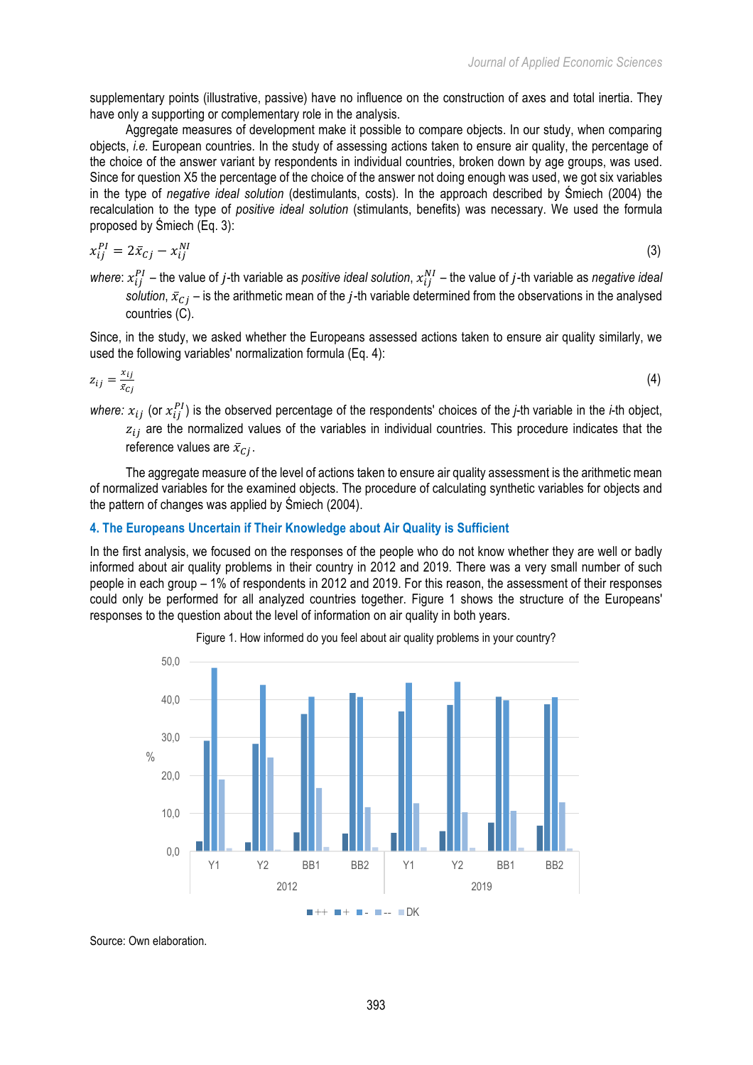supplementary points (illustrative, passive) have no influence on the construction of axes and total inertia. They have only a supporting or complementary role in the analysis.

Aggregate measures of development make it possible to compare objects. In our study, when comparing objects, *i.e.* European countries. In the study of assessing actions taken to ensure air quality, the percentage of the choice of the answer variant by respondents in individual countries, broken down by age groups, was used. Since for question X5 the percentage of the choice of the answer not doing enough was used, we got six variables in the type of *negative ideal solution* (destimulants, costs). In the approach described by Śmiech (2004) the recalculation to the type of *positive ideal solution* (stimulants, benefits) was necessary. We used the formula proposed by Śmiech (Eq. 3):

$$
x_{ij}^{PI} = 2\bar{x}_{Cj} - x_{ij}^{NI} \tag{3}
$$

where:  $x_{ij}^{PI}$  – the value of *j*-th variable as *positive ideal solution,*  $x_{ij}^{NI}$  – the value of *j*-th variable as *negative ideal solution,*  $\bar{x}_{Cj}$  *–* is the arithmetic mean of the *j*-th variable determined from the observations in the analysed countries (C).

Since, in the study, we asked whether the Europeans assessed actions taken to ensure air quality similarly, we used the following variables' normalization formula (Eq. 4):

$$
z_{ij} = \frac{x_{ij}}{\bar{x}_{Cj}} \tag{4}
$$

where:  $x_{ij}$  (or  $x_{ij}^{PI}$ ) is the observed percentage of the respondents' choices of the *j*-th variable in the *i*-th object,  $z_{ij}$  are the normalized values of the variables in individual countries. This procedure indicates that the reference values are  $\bar{x}_{ci}$ .

The aggregate measure of the level of actions taken to ensure air quality assessment is the arithmetic mean of normalized variables for the examined objects. The procedure of calculating synthetic variables for objects and the pattern of changes was applied by Śmiech (2004).

# **4. The Europeans Uncertain if Their Knowledge about Air Quality is Sufficient**

In the first analysis, we focused on the responses of the people who do not know whether they are well or badly informed about air quality problems in their country in 2012 and 2019. There was a very small number of such people in each group – 1% of respondents in 2012 and 2019. For this reason, the assessment of their responses could only be performed for all analyzed countries together. Figure 1 shows the structure of the Europeans' responses to the question about the level of information on air quality in both years.





Source: Own elaboration.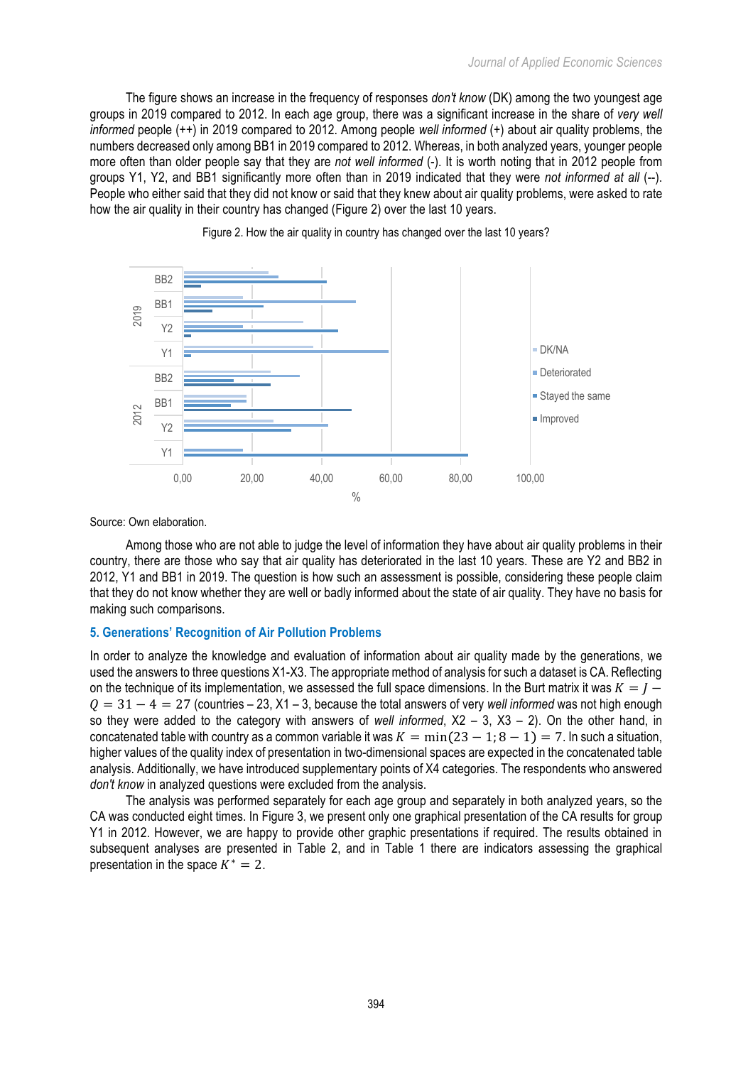The figure shows an increase in the frequency of responses *don't know* (DK) among the two youngest age groups in 2019 compared to 2012. In each age group, there was a significant increase in the share of *very well informed* people (++) in 2019 compared to 2012. Among people *well informed* (+) about air quality problems, the numbers decreased only among BB1 in 2019 compared to 2012. Whereas, in both analyzed years, younger people more often than older people say that they are *not well informed* (-). It is worth noting that in 2012 people from groups Y1, Y2, and BB1 significantly more often than in 2019 indicated that they were *not informed at all* (--). People who either said that they did not know or said that they knew about air quality problems, were asked to rate how the air quality in their country has changed (Figure 2) over the last 10 years.



Figure 2. How the air quality in country has changed over the last 10 years?

Source: Own elaboration.

Among those who are not able to judge the level of information they have about air quality problems in their country, there are those who say that air quality has deteriorated in the last 10 years. These are Y2 and BB2 in 2012, Y1 and BB1 in 2019. The question is how such an assessment is possible, considering these people claim that they do not know whether they are well or badly informed about the state of air quality. They have no basis for making such comparisons.

## **5. Generations' Recognition of Air Pollution Problems**

In order to analyze the knowledge and evaluation of information about air quality made by the generations, we used the answers to three questions X1-X3. The appropriate method of analysis for such a dataset is CA. Reflecting on the technique of its implementation, we assessed the full space dimensions. In the Burt matrix it was  $K = I 0 = 31 - 4 = 27$  (countries – 23, X1 – 3, because the total answers of very *well informed* was not high enough so they were added to the category with answers of *well informed*, X2 – 3, X3 – 2). On the other hand, in concatenated table with country as a common variable it was  $K = min(23 - 1; 8 - 1) = 7$ . In such a situation, higher values of the quality index of presentation in two-dimensional spaces are expected in the concatenated table analysis. Additionally, we have introduced supplementary points of X4 categories. The respondents who answered *don't know* in analyzed questions were excluded from the analysis.

The analysis was performed separately for each age group and separately in both analyzed years, so the CA was conducted eight times. In Figure 3, we present only one graphical presentation of the CA results for group Y1 in 2012. However, we are happy to provide other graphic presentations if required. The results obtained in subsequent analyses are presented in Table 2, and in Table 1 there are indicators assessing the graphical presentation in the space  $K^* = 2$ .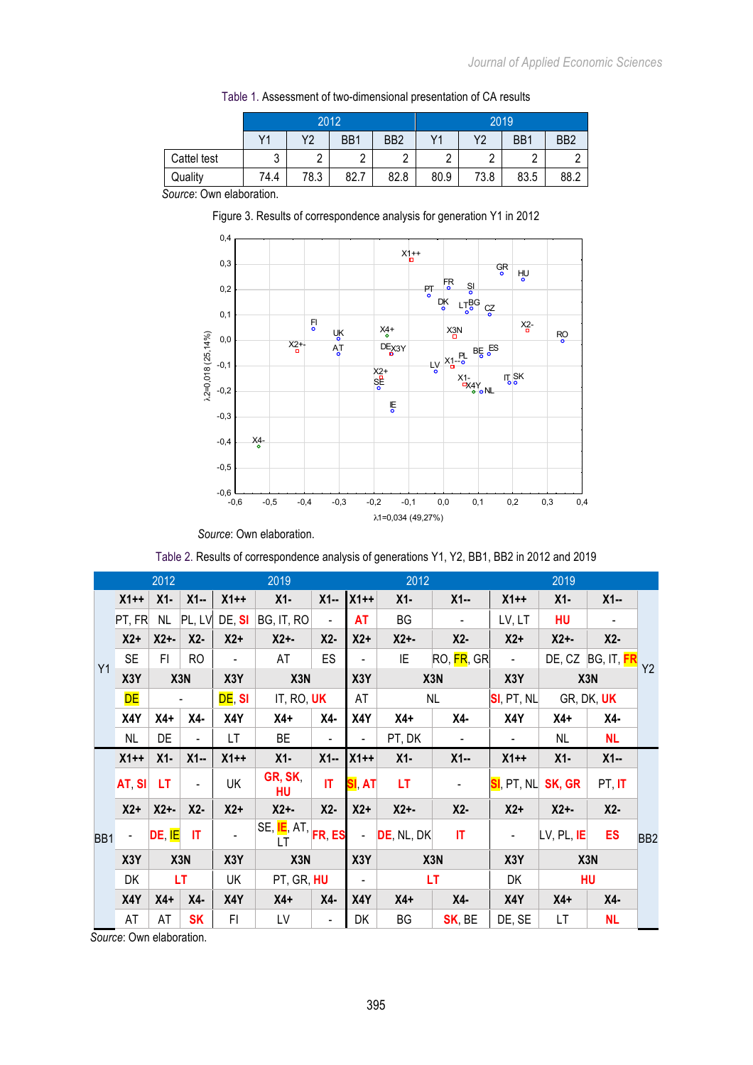|             |                | 2012       |      |                 | 2019 |      |                  |                 |  |  |
|-------------|----------------|------------|------|-----------------|------|------|------------------|-----------------|--|--|
|             | V <sub>1</sub> | Υ2         | BB1  | BB <sub>2</sub> | Y1   | Y2   | B <sub>B</sub> 1 | B <sub>B2</sub> |  |  |
| Cattel test | 2<br>ັບ        | $\sqrt{2}$ |      | $\overline{ }$  | ⌒    |      | ⌒                |                 |  |  |
| Quality     | 74.4           | 78.3       | 82.7 | 82.8            | 80.9 | 73.8 | 83.5             | 88.2            |  |  |

Table 1. Assessment of two-dimensional presentation of CA results

*Source*: Own elaboration.

Figure 3. Results of correspondence analysis for generation Y1 in 2012



Table 2. Results of correspondence analysis of generations Y1, Y2, BB1, BB2 in 2012 and 2019

| 2012            |           |                  |                          | 2019           |                                                     |                          | 2012                     |               | 2019                     |                             |                  |                   |                 |  |
|-----------------|-----------|------------------|--------------------------|----------------|-----------------------------------------------------|--------------------------|--------------------------|---------------|--------------------------|-----------------------------|------------------|-------------------|-----------------|--|
| Y1              | $X1++$    | $X1-$            | $X1 -$                   | $X1++$         | $X1-$                                               | $X1 -$                   | $X1++$                   | $X1-$         | $X1 -$                   | $X1++$                      | $X1-$            | $X1 -$            |                 |  |
|                 | PT, FR    | <b>NL</b>        | PL, LV                   | DE, SI         | BG, IT, RO                                          | $\blacksquare$           | AT                       | BG            | $\overline{\phantom{a}}$ | LV, LT                      | HU               |                   |                 |  |
|                 | $X2+$     | $X2 + -$         | $X2-$                    | $X2+$          | $X2 + -$                                            | $X2-$                    | $X2+$                    | $X2 + -$      | $X2-$                    | $X2+$                       | $X2 + -$         | $X2-$             |                 |  |
|                 | <b>SE</b> | FI.              | RO                       | $\blacksquare$ | AT                                                  | <b>ES</b>                | $\blacksquare$           | IE            | RO, <mark>FR</mark> , GR | $\mathcal{L}_{\mathcal{A}}$ |                  | DE, CZ BG, IT, FR | Y2              |  |
|                 | X3Y       | X3N              |                          | X3Y            | X3N                                                 |                          | X3Y                      | X3N           |                          | X3Y                         | X3N              |                   |                 |  |
|                 | <b>DE</b> |                  |                          | DE, SI         | It, Ro, <b>UK</b>                                   |                          | AT                       | NL            |                          | $SI$ , PT, NL               | GR, DK, UK       |                   |                 |  |
|                 | X4Y       | X4+              | X4-                      | X4Y            | $X4+$                                               | X4-                      | X4Y                      | $X4+$         | X4-                      | X4Y                         | $X4+$            | X4-               |                 |  |
|                 | <b>NL</b> | DE               | $\overline{\phantom{0}}$ | LT             | BE                                                  | $\overline{\phantom{a}}$ |                          | PT, DK        | $\blacksquare$           |                             | NL.              | <b>NL</b>         |                 |  |
|                 | $X1++$    | $X1-$            | $X1 -$                   | $X1++$         | $X1-$                                               | $X1 -$                   | $X1++$                   | $X1-$         | $X1 -$                   | $X1++$                      | $X1-$            | $X1 -$            |                 |  |
| BB <sub>1</sub> | AT SI     | LT               | $\overline{\phantom{a}}$ | UK             | GR, SK,<br>HU                                       | IT                       | SI AT                    | LT.           | $\blacksquare$           | SI, PT, NL                  | SK, GR           | PT, IT            |                 |  |
|                 | $X2+$     | $X2+$            | $X2-$                    | $X2+$          | $X2 + -$                                            | $X2-$                    | $X2+$                    | $X2 + -$      | $X2-$                    | $X2+$                       | $X2 + -$         | $X2-$             |                 |  |
|                 |           | DE, IE           | IT                       |                | SE, <mark>IE</mark> , AT, <mark>FR, ES</mark><br>LT |                          | ÷.                       | $DE$ , NL, DK | IT.                      | $\blacksquare$              | LV, PL, IE       | <b>ES</b>         | BB <sub>2</sub> |  |
|                 | X3Y       | X <sub>3</sub> N |                          | X3Y            | X3N                                                 |                          | X3Y                      | X3N           |                          | X3Y                         | X <sub>3</sub> N |                   |                 |  |
|                 | DK        | LT               |                          | UK             | PT, GR, HU                                          |                          | $\overline{\phantom{0}}$ | <b>LT</b>     |                          | DK                          | <b>HU</b>        |                   |                 |  |
|                 | X4Y       | $X4+$            | X4-                      | X4Y            | $X4+$                                               | X4-                      | X4Y                      | $X4+$         | X4-                      | X4Y                         | $X4+$            | X4-               |                 |  |
|                 | AT        | AT               | <b>SK</b>                | FI             | LV                                                  | $\overline{\phantom{a}}$ | DK                       | BG            | SK, BE                   | DE, SE                      | LT               | <b>NL</b>         |                 |  |

*Source*: Own elaboration.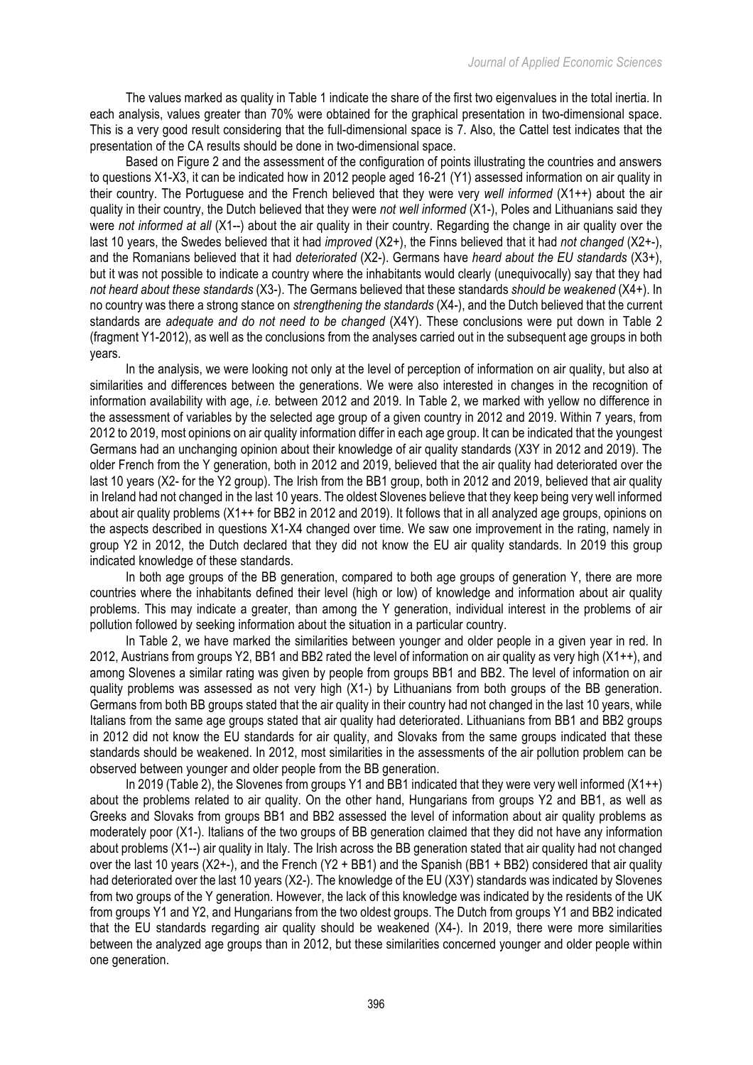The values marked as quality in Table 1 indicate the share of the first two eigenvalues in the total inertia. In each analysis, values greater than 70% were obtained for the graphical presentation in two-dimensional space. This is a very good result considering that the full-dimensional space is 7. Also, the Cattel test indicates that the presentation of the CA results should be done in two-dimensional space.

Based on Figure 2 and the assessment of the configuration of points illustrating the countries and answers to questions X1-X3, it can be indicated how in 2012 people aged 16-21 (Y1) assessed information on air quality in their country. The Portuguese and the French believed that they were very *well informed* (X1++) about the air quality in their country, the Dutch believed that they were *not well informed* (X1-), Poles and Lithuanians said they were *not informed at all* (X1--) about the air quality in their country. Regarding the change in air quality over the last 10 years, the Swedes believed that it had *improved* (X2+), the Finns believed that it had *not changed* (X2+-), and the Romanians believed that it had *deteriorated* (X2-). Germans have *heard about the EU standards* (X3+), but it was not possible to indicate a country where the inhabitants would clearly (unequivocally) say that they had *not heard about these standards* (X3-). The Germans believed that these standards *should be weakened* (X4+). In no country was there a strong stance on *strengthening the standards* (X4-), and the Dutch believed that the current standards are *adequate and do not need to be changed* (X4Y). These conclusions were put down in Table 2 (fragment Y1-2012), as well as the conclusions from the analyses carried out in the subsequent age groups in both years.

In the analysis, we were looking not only at the level of perception of information on air quality, but also at similarities and differences between the generations. We were also interested in changes in the recognition of information availability with age, *i.e.* between 2012 and 2019. In Table 2, we marked with yellow no difference in the assessment of variables by the selected age group of a given country in 2012 and 2019. Within 7 years, from 2012 to 2019, most opinions on air quality information differ in each age group. It can be indicated that the youngest Germans had an unchanging opinion about their knowledge of air quality standards (X3Y in 2012 and 2019). The older French from the Y generation, both in 2012 and 2019, believed that the air quality had deteriorated over the last 10 years (X2- for the Y2 group). The Irish from the BB1 group, both in 2012 and 2019, believed that air quality in Ireland had not changed in the last 10 years. The oldest Slovenes believe that they keep being very well informed about air quality problems (X1++ for BB2 in 2012 and 2019). It follows that in all analyzed age groups, opinions on the aspects described in questions X1-X4 changed over time. We saw one improvement in the rating, namely in group Y2 in 2012, the Dutch declared that they did not know the EU air quality standards. In 2019 this group indicated knowledge of these standards.

In both age groups of the BB generation, compared to both age groups of generation Y, there are more countries where the inhabitants defined their level (high or low) of knowledge and information about air quality problems. This may indicate a greater, than among the Y generation, individual interest in the problems of air pollution followed by seeking information about the situation in a particular country.

In Table 2, we have marked the similarities between younger and older people in a given year in red. In 2012, Austrians from groups Y2, BB1 and BB2 rated the level of information on air quality as very high (X1++), and among Slovenes a similar rating was given by people from groups BB1 and BB2. The level of information on air quality problems was assessed as not very high (X1-) by Lithuanians from both groups of the BB generation. Germans from both BB groups stated that the air quality in their country had not changed in the last 10 years, while Italians from the same age groups stated that air quality had deteriorated. Lithuanians from BB1 and BB2 groups in 2012 did not know the EU standards for air quality, and Slovaks from the same groups indicated that these standards should be weakened. In 2012, most similarities in the assessments of the air pollution problem can be observed between younger and older people from the BB generation.

In 2019 (Table 2), the Slovenes from groups Y1 and BB1 indicated that they were very well informed  $(X1++)$ about the problems related to air quality. On the other hand, Hungarians from groups Y2 and BB1, as well as Greeks and Slovaks from groups BB1 and BB2 assessed the level of information about air quality problems as moderately poor (X1-). Italians of the two groups of BB generation claimed that they did not have any information about problems (X1--) air quality in Italy. The Irish across the BB generation stated that air quality had not changed over the last 10 years (X2+-), and the French (Y2 + BB1) and the Spanish (BB1 + BB2) considered that air quality had deteriorated over the last 10 years (X2-). The knowledge of the EU (X3Y) standards was indicated by Slovenes from two groups of the Y generation. However, the lack of this knowledge was indicated by the residents of the UK from groups Y1 and Y2, and Hungarians from the two oldest groups. The Dutch from groups Y1 and BB2 indicated that the EU standards regarding air quality should be weakened (X4-). In 2019, there were more similarities between the analyzed age groups than in 2012, but these similarities concerned younger and older people within one generation.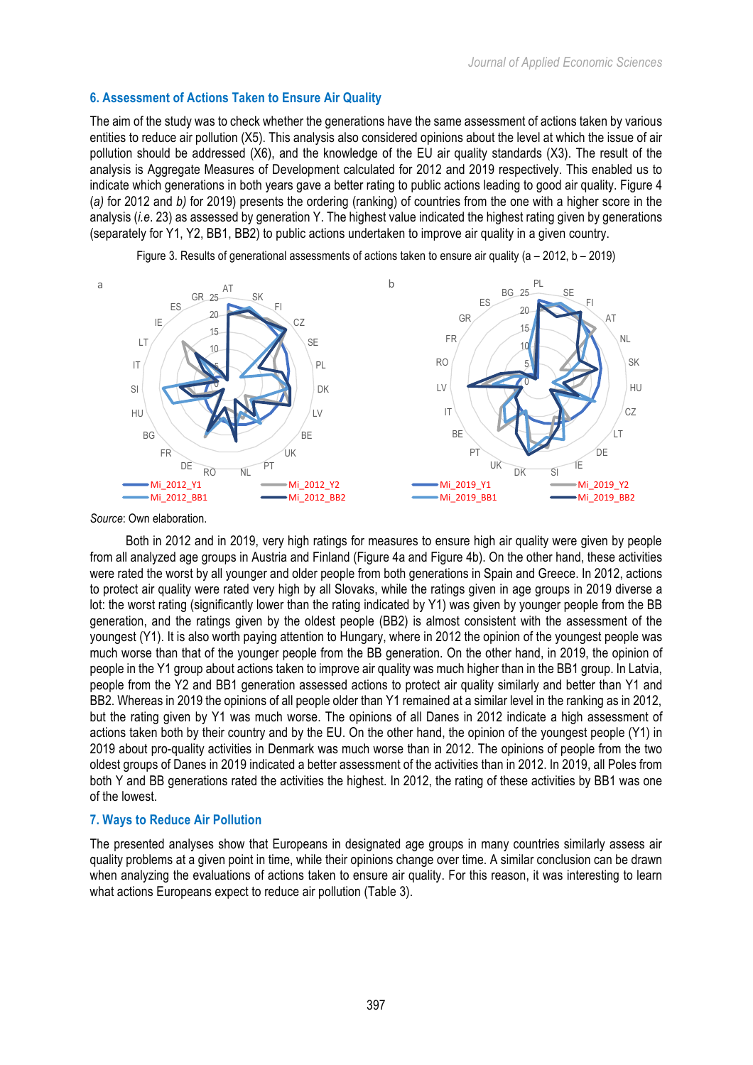# **6. Assessment of Actions Taken to Ensure Air Quality**

The aim of the study was to check whether the generations have the same assessment of actions taken by various entities to reduce air pollution (X5). This analysis also considered opinions about the level at which the issue of air pollution should be addressed (X6), and the knowledge of the EU air quality standards (X3). The result of the analysis is Aggregate Measures of Development calculated for 2012 and 2019 respectively. This enabled us to indicate which generations in both years gave a better rating to public actions leading to good air quality. Figure 4 (*a)* for 2012 and *b)* for 2019) presents the ordering (ranking) of countries from the one with a higher score in the analysis (*i.e*. 23) as assessed by generation Y. The highest value indicated the highest rating given by generations (separately for Y1, Y2, BB1, BB2) to public actions undertaken to improve air quality in a given country.



Figure 3. Results of generational assessments of actions taken to ensure air quality (a – 2012, b – 2019)

*Source*: Own elaboration.

Both in 2012 and in 2019, very high ratings for measures to ensure high air quality were given by people from all analyzed age groups in Austria and Finland (Figure 4a and Figure 4b). On the other hand, these activities were rated the worst by all younger and older people from both generations in Spain and Greece. In 2012, actions to protect air quality were rated very high by all Slovaks, while the ratings given in age groups in 2019 diverse a lot: the worst rating (significantly lower than the rating indicated by Y1) was given by younger people from the BB generation, and the ratings given by the oldest people (BB2) is almost consistent with the assessment of the youngest (Y1). It is also worth paying attention to Hungary, where in 2012 the opinion of the youngest people was much worse than that of the younger people from the BB generation. On the other hand, in 2019, the opinion of people in the Y1 group about actions taken to improve air quality was much higher than in the BB1 group. In Latvia, people from the Y2 and BB1 generation assessed actions to protect air quality similarly and better than Y1 and BB2. Whereas in 2019 the opinions of all people older than Y1 remained at a similar level in the ranking as in 2012, but the rating given by Y1 was much worse. The opinions of all Danes in 2012 indicate a high assessment of actions taken both by their country and by the EU. On the other hand, the opinion of the youngest people (Y1) in 2019 about pro-quality activities in Denmark was much worse than in 2012. The opinions of people from the two oldest groups of Danes in 2019 indicated a better assessment of the activities than in 2012. In 2019, all Poles from both Y and BB generations rated the activities the highest. In 2012, the rating of these activities by BB1 was one of the lowest.

#### **7. Ways to Reduce Air Pollution**

The presented analyses show that Europeans in designated age groups in many countries similarly assess air quality problems at a given point in time, while their opinions change over time. A similar conclusion can be drawn when analyzing the evaluations of actions taken to ensure air quality. For this reason, it was interesting to learn what actions Europeans expect to reduce air pollution (Table 3).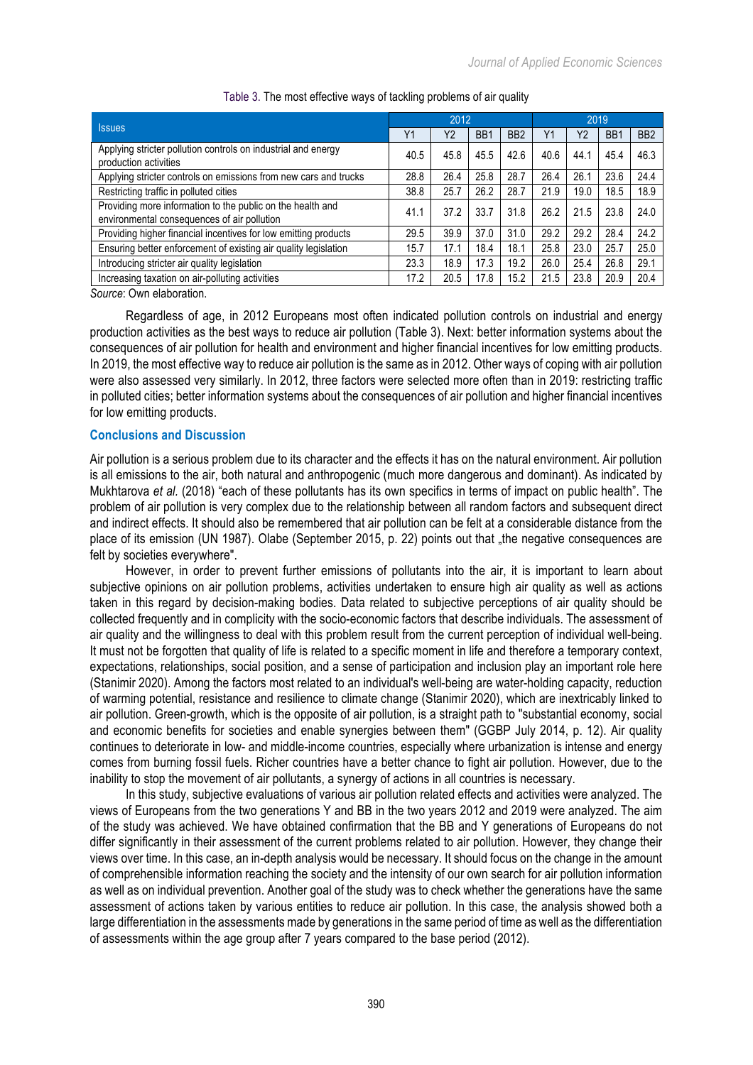|                                                                                                           | 2012 |      |                  |                 | 2019 |                |                  |                 |
|-----------------------------------------------------------------------------------------------------------|------|------|------------------|-----------------|------|----------------|------------------|-----------------|
| <b>Issues</b>                                                                                             | Y1   | Y2   | B <sub>B</sub> 1 | BB <sub>2</sub> | Y1   | Y <sub>2</sub> | B <sub>B</sub> 1 | BB <sub>2</sub> |
| Applying stricter pollution controls on industrial and energy<br>production activities                    | 40.5 | 45.8 | 45.5             | 42.6            | 40.6 | 44.1           | 45.4             | 46.3            |
| Applying stricter controls on emissions from new cars and trucks                                          | 28.8 | 26.4 | 25.8             | 28.7            | 26.4 | 26.1           | 23.6             | 24.4            |
| Restricting traffic in polluted cities                                                                    | 38.8 | 25.7 | 26.2             | 28.7            | 21.9 | 19.0           | 18.5             | 18.9            |
| Providing more information to the public on the health and<br>environmental consequences of air pollution | 41.1 | 37.2 | 33.7             | 31.8            | 26.2 | 21.5           | 23.8             | 24.0            |
| Providing higher financial incentives for low emitting products                                           | 29.5 | 39.9 | 37.0             | 31.0            | 29.2 | 29.2           | 28.4             | 24.2            |
| Ensuring better enforcement of existing air quality legislation                                           | 15.7 | 17.1 | 18.4             | 18.1            | 25.8 | 23.0           | 25.7             | 25.0            |
| Introducing stricter air quality legislation                                                              | 23.3 | 18.9 | 17.3             | 19.2            | 26.0 | 25.4           | 26.8             | 29.1            |
| Increasing taxation on air-polluting activities                                                           | 17.2 | 20.5 | 17.8             | 15.2            | 21.5 | 23.8           | 20.9             | 20.4            |
| Oranger Orange alalysis distant                                                                           |      |      |                  |                 |      |                |                  |                 |

## Table 3. The most effective ways of tackling problems of air quality

*Source*: Own elaboration.

Regardless of age, in 2012 Europeans most often indicated pollution controls on industrial and energy production activities as the best ways to reduce air pollution (Table 3). Next: better information systems about the consequences of air pollution for health and environment and higher financial incentives for low emitting products. In 2019, the most effective way to reduce air pollution is the same as in 2012. Other ways of coping with air pollution were also assessed very similarly. In 2012, three factors were selected more often than in 2019: restricting traffic in polluted cities; better information systems about the consequences of air pollution and higher financial incentives for low emitting products.

## **Conclusions and Discussion**

Air pollution is a serious problem due to its character and the effects it has on the natural environment. Air pollution is all emissions to the air, both natural and anthropogenic (much more dangerous and dominant). As indicated by Mukhtarova *et al.* (2018) "each of these pollutants has its own specifics in terms of impact on public health". The problem of air pollution is very complex due to the relationship between all random factors and subsequent direct and indirect effects. It should also be remembered that air pollution can be felt at a considerable distance from the place of its emission (UN 1987). Olabe (September 2015, p. 22) points out that "the negative consequences are felt by societies everywhere".

However, in order to prevent further emissions of pollutants into the air, it is important to learn about subjective opinions on air pollution problems, activities undertaken to ensure high air quality as well as actions taken in this regard by decision-making bodies. Data related to subjective perceptions of air quality should be collected frequently and in complicity with the socio-economic factors that describe individuals. The assessment of air quality and the willingness to deal with this problem result from the current perception of individual well-being. It must not be forgotten that quality of life is related to a specific moment in life and therefore a temporary context, expectations, relationships, social position, and a sense of participation and inclusion play an important role here (Stanimir 2020). Among the factors most related to an individual's well-being are water-holding capacity, reduction of warming potential, resistance and resilience to climate change (Stanimir 2020), which are inextricably linked to air pollution. Green-growth, which is the opposite of air pollution, is a straight path to "substantial economy, social and economic benefits for societies and enable synergies between them" (GGBP July 2014, p. 12). Air quality continues to deteriorate in low- and middle-income countries, especially where urbanization is intense and energy comes from burning fossil fuels. Richer countries have a better chance to fight air pollution. However, due to the inability to stop the movement of air pollutants, a synergy of actions in all countries is necessary.

In this study, subjective evaluations of various air pollution related effects and activities were analyzed. The views of Europeans from the two generations Y and BB in the two years 2012 and 2019 were analyzed. The aim of the study was achieved. We have obtained confirmation that the BB and Y generations of Europeans do not differ significantly in their assessment of the current problems related to air pollution. However, they change their views over time. In this case, an in-depth analysis would be necessary. It should focus on the change in the amount of comprehensible information reaching the society and the intensity of our own search for air pollution information as well as on individual prevention. Another goal of the study was to check whether the generations have the same assessment of actions taken by various entities to reduce air pollution. In this case, the analysis showed both a large differentiation in the assessments made by generations in the same period of time as well as the differentiation of assessments within the age group after 7 years compared to the base period (2012).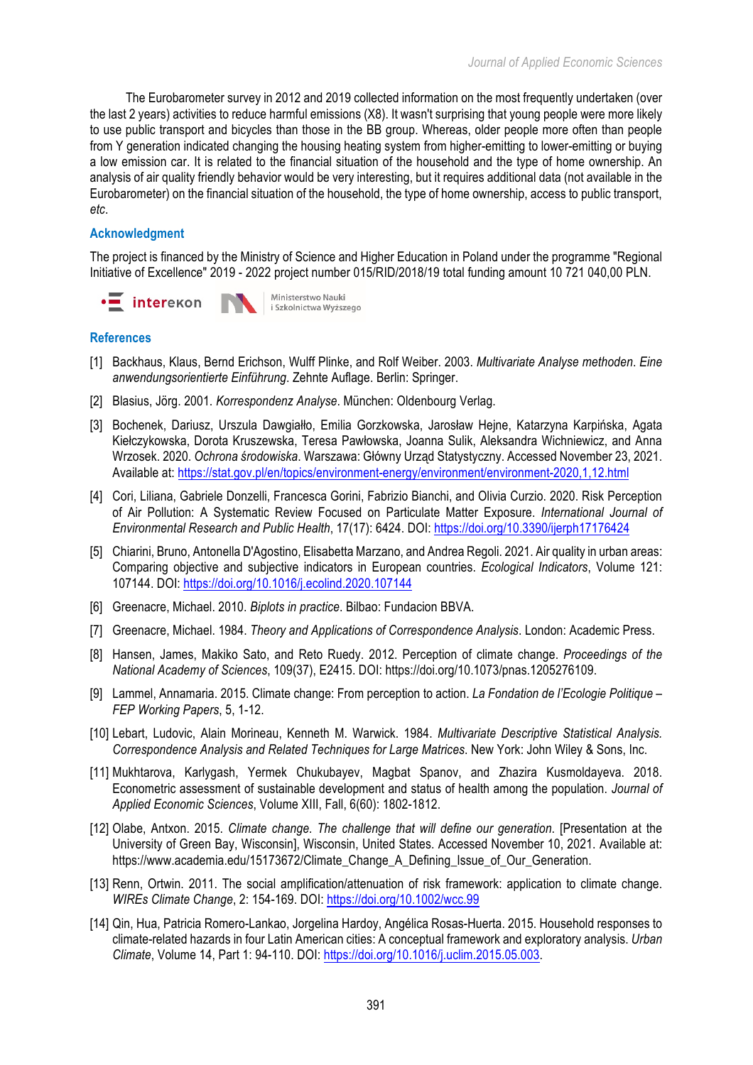The Eurobarometer survey in 2012 and 2019 collected information on the most frequently undertaken (over the last 2 years) activities to reduce harmful emissions (X8). It wasn't surprising that young people were more likely to use public transport and bicycles than those in the BB group. Whereas, older people more often than people from Y generation indicated changing the housing heating system from higher-emitting to lower-emitting or buying a low emission car. It is related to the financial situation of the household and the type of home ownership. An analysis of air quality friendly behavior would be very interesting, but it requires additional data (not available in the Eurobarometer) on the financial situation of the household, the type of home ownership, access to public transport, *etc*.

# **Acknowledgment**

The project is financed by the Ministry of Science and Higher Education in Poland under the programme "Regional Initiative of Excellence" 2019 - 2022 project number 015/RID/2018/19 total funding amount 10 721 040,00 PLN.



# **References**

- [1] Backhaus, Klaus, Bernd Erichson, Wulff Plinke, and Rolf Weiber. 2003. *Multivariate Analyse methoden*. *Eine anwendungsorientierte Einführung*. Zehnte Auflage. Berlin: Springer.
- [2] Blasius, Jörg. 2001. *Korrespondenz Analyse*. München: Oldenbourg Verlag.
- [3] Bochenek, Dariusz, Urszula Dawgiałło, Emilia Gorzkowska, Jarosław Hejne, Katarzyna Karpińska, Agata Kiełczykowska, Dorota Kruszewska, Teresa Pawłowska, Joanna Sulik, Aleksandra Wichniewicz, and Anna Wrzosek. 2020. *Ochrona środowiska*. Warszawa: Główny Urząd Statystyczny. Accessed November 23, 2021. Available at: https://stat.gov.pl/en/topics/environment-energy/environment/environment-2020,1,12.html
- [4] Cori, Liliana, Gabriele Donzelli, Francesca Gorini, Fabrizio Bianchi, and Olivia Curzio. 2020. Risk Perception of Air Pollution: A Systematic Review Focused on Particulate Matter Exposure. *International Journal of Environmental Research and Public Health*, 17(17): 6424. DOI: https://doi.org/10.3390/ijerph17176424
- [5] Chiarini, Bruno, Antonella D'Agostino, Elisabetta Marzano, and Andrea Regoli. 2021. Air quality in urban areas: Comparing objective and subjective indicators in European countries. *Ecological Indicators*, Volume 121: 107144. DOI: https://doi.org/10.1016/j.ecolind.2020.107144
- [6] Greenacre, Michael. 2010. *Biplots in practice*. Bilbao: Fundacion BBVA.
- [7] Greenacre, Michael. 1984. *Theory and Applications of Correspondence Analysis*. London: Academic Press.
- [8] Hansen, James, Makiko Sato, and Reto Ruedy. 2012. Perception of climate change. *Proceedings of the National Academy of Sciences*, 109(37), E2415. DOI: https://doi.org/10.1073/pnas.1205276109.
- [9] Lammel, Annamaria. 2015. Climate change: From perception to action. *La Fondation de l'Ecologie Politique – FEP Working Papers*, 5, 1-12.
- [10] Lebart, Ludovic, Alain Morineau, Kenneth M. Warwick. 1984. *Multivariate Descriptive Statistical Analysis. Correspondence Analysis and Related Techniques for Large Matrices*. New York: John Wiley & Sons, Inc.
- [11] Mukhtarova, Karlygash, Yermek Chukubayev, Magbat Spanov, and Zhazira Kusmoldayeva. 2018. Econometric assessment of sustainable development and status of health among the population. *Journal of Applied Economic Sciences*, Volume XIII, Fall, 6(60): 1802-1812.
- [12] Olabe, Antxon. 2015. *Climate change. The challenge that will define our generation*. [Presentation at the University of Green Bay, Wisconsin], Wisconsin, United States. Accessed November 10, 2021. Available at: https://www.academia.edu/15173672/Climate Change A Defining Issue of Our Generation.
- [13] Renn, Ortwin. 2011. The social amplification/attenuation of risk framework: application to climate change. *WIREs Climate Change*, 2: 154-169. DOI: https://doi.org/10.1002/wcc.99
- [14] Qin, Hua, Patricia Romero-Lankao, Jorgelina Hardoy, Angélica Rosas-Huerta. 2015. Household responses to climate-related hazards in four Latin American cities: A conceptual framework and exploratory analysis. *Urban Climate*, Volume 14, Part 1: 94-110. DOI: https://doi.org/10.1016/j.uclim.2015.05.003.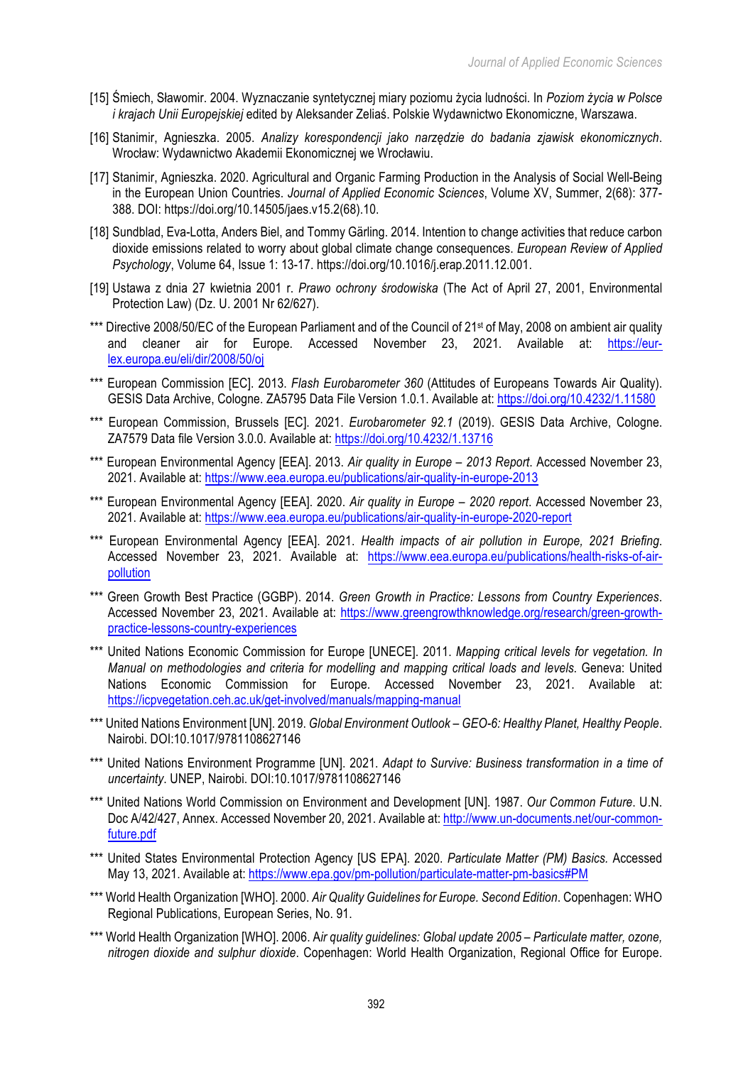- [15] Śmiech, Sławomir. 2004. Wyznaczanie syntetycznej miary poziomu życia ludności. In *Poziom życia w Polsce i krajach Unii Europejskiej* edited by Aleksander Zeliaś. Polskie Wydawnictwo Ekonomiczne, Warszawa.
- [16] Stanimir, Agnieszka. 2005. *Analizy korespondencji jako narzędzie do badania zjawisk ekonomicznych*. Wrocław: Wydawnictwo Akademii Ekonomicznej we Wrocławiu.
- [17] Stanimir, Agnieszka, 2020. Agricultural and Organic Farming Production in the Analysis of Social Well-Being in the European Union Countries. *Journal of Applied Economic Sciences*, Volume XV, Summer, 2(68): 377- 388. DOI: https://doi.org/10.14505/jaes.v15.2(68).10.
- [18] Sundblad, Eva-Lotta, Anders Biel, and Tommy Gärling. 2014. Intention to change activities that reduce carbon dioxide emissions related to worry about global climate change consequences. *European Review of Applied Psychology*, Volume 64, Issue 1: 13-17. https://doi.org/10.1016/j.erap.2011.12.001.
- [19] Ustawa z dnia 27 kwietnia 2001 r. *Prawo ochrony środowiska* (The Act of April 27, 2001, Environmental Protection Law) (Dz. U. 2001 Nr 62/627).
- \*\*\* Directive 2008/50/EC of the European Parliament and of the Council of 21<sup>st</sup> of May, 2008 on ambient air quality and cleaner air for Europe. Accessed November 23, 2021. Available at: https://eurlex.europa.eu/eli/dir/2008/50/oj
- \*\*\* European Commission [EC]. 2013. *Flash Eurobarometer 360* (Attitudes of Europeans Towards Air Quality). GESIS Data Archive, Cologne. ZA5795 Data File Version 1.0.1. Available at: https://doi.org/10.4232/1.11580
- \*\*\* European Commission, Brussels [EC]. 2021. *Eurobarometer 92.1* (2019). GESIS Data Archive, Cologne. ZA7579 Data file Version 3.0.0. Available at: https://doi.org/10.4232/1.13716
- \*\*\* European Environmental Agency [EEA]. 2013. *Air quality in Europe – 2013 Report*. Accessed November 23, 2021. Available at: https://www.eea.europa.eu/publications/air-quality-in-europe-2013
- \*\*\* European Environmental Agency [EEA]. 2020. *Air quality in Europe – 2020 report*. Accessed November 23, 2021. Available at: https://www.eea.europa.eu/publications/air-quality-in-europe-2020-report
- \*\*\* European Environmental Agency [EEA]. 2021. *Health impacts of air pollution in Europe, 2021 Briefing*. Accessed November 23, 2021. Available at: https://www.eea.europa.eu/publications/health-risks-of-airpollution
- \*\*\* Green Growth Best Practice (GGBP). 2014. *Green Growth in Practice: Lessons from Country Experiences*. Accessed November 23, 2021. Available at: https://www.greengrowthknowledge.org/research/green-growthpractice-lessons-country-experiences
- \*\*\* United Nations Economic Commission for Europe [UNECE]. 2011. *Mapping critical levels for vegetation. In Manual on methodologies and criteria for modelling and mapping critical loads and levels*. Geneva: United Nations Economic Commission for Europe. Accessed November 23, 2021. Available at: https://icpvegetation.ceh.ac.uk/get-involved/manuals/mapping-manual
- \*\*\* United Nations Environment [UN]. 2019. *Global Environment Outlook – GEO-6: Healthy Planet, Healthy People*. Nairobi. DOI:10.1017/9781108627146
- \*\*\* United Nations Environment Programme [UN]. 2021. *Adapt to Survive: Business transformation in a time of uncertainty*. UNEP, Nairobi. DOI:10.1017/9781108627146
- \*\*\* United Nations World Commission on Environment and Development [UN]. 1987. *Our Common Future*. U.N. Doc A/42/427, Annex. Accessed November 20, 2021. Available at: http://www.un-documents.net/our-commonfuture.pdf
- \*\*\* United States Environmental Protection Agency [US EPA]. 2020. *Particulate Matter (PM) Basics.* Accessed May 13, 2021. Available at: https://www.epa.gov/pm-pollution/particulate-matter-pm-basics#PM
- \*\*\* World Health Organization [WHO]. 2000. *Air Quality Guidelines for Europe. Second Edition*. Copenhagen: WHO Regional Publications, European Series, No. 91.
- \*\*\* World Health Organization [WHO]. 2006. A*ir quality guidelines: Global update 2005 – Particulate matter, ozone, nitrogen dioxide and sulphur dioxide*. Copenhagen: World Health Organization, Regional Office for Europe.